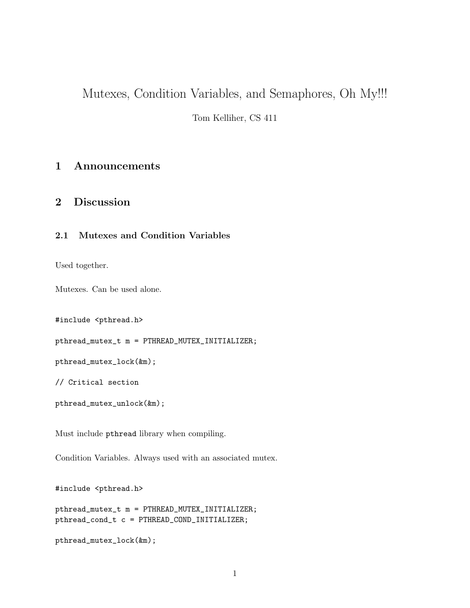# Mutexes, Condition Variables, and Semaphores, Oh My!!!

Tom Kelliher, CS 411

## 1 Announcements

### 2 Discussion

### 2.1 Mutexes and Condition Variables

Used together.

Mutexes. Can be used alone.

#include <pthread.h>

pthread\_mutex\_t m = PTHREAD\_MUTEX\_INITIALIZER;

pthread\_mutex\_lock(&m);

// Critical section

```
pthread_mutex_unlock(&m);
```
Must include pthread library when compiling.

Condition Variables. Always used with an associated mutex.

#include <pthread.h>

pthread\_mutex\_t m = PTHREAD\_MUTEX\_INITIALIZER; pthread\_cond\_t c = PTHREAD\_COND\_INITIALIZER;

```
pthread_mutex_lock(&m);
```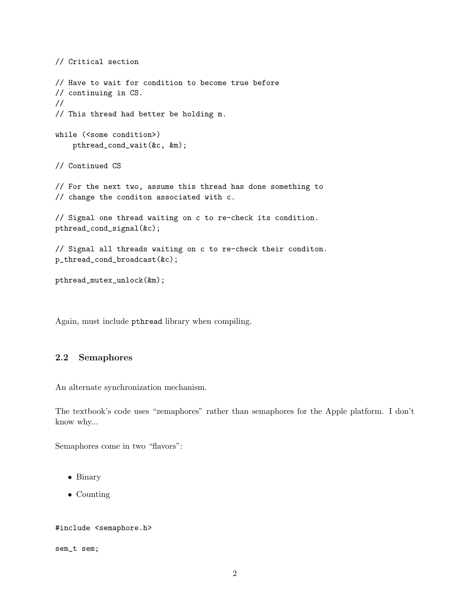```
// Critical section
// Have to wait for condition to become true before
// continuing in CS.
//
// This thread had better be holding m.
while (<some condition>)
    pthread_cond_wait(&c, &m);
// Continued CS
// For the next two, assume this thread has done something to
// change the conditon associated with c.
// Signal one thread waiting on c to re-check its condition.
pthread_cond_signal(&c);
// Signal all threads waiting on c to re-check their conditon.
p_thread_cond_broadcast(&c);
pthread_mutex_unlock(&m);
```
Again, must include pthread library when compiling.

#### 2.2 Semaphores

An alternate synchronization mechanism.

The textbook's code uses "zemaphores" rather than semaphores for the Apple platform. I don't know why...

Semaphores come in two "flavors":

- Binary
- Counting

#### #include <semaphore.h>

sem\_t sem;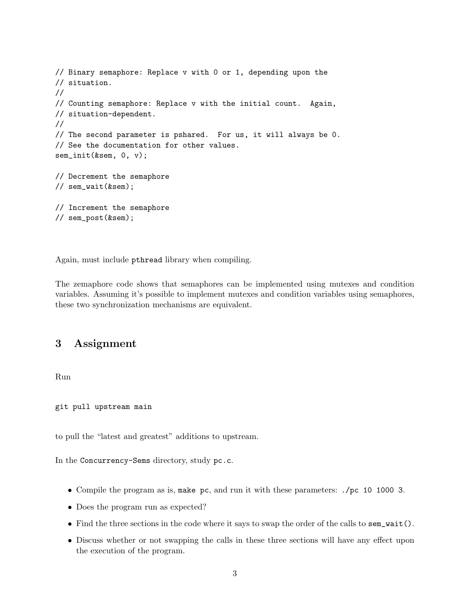```
// Binary semaphore: Replace v with 0 or 1, depending upon the
// situation.
//
// Counting semaphore: Replace v with the initial count. Again,
// situation-dependent.
//
// The second parameter is pshared. For us, it will always be 0.
// See the documentation for other values.
sem_init(&sem, 0, v);
// Decrement the semaphore
// sem_wait(&sem);
// Increment the semaphore
// sem_post(&sem);
```
Again, must include pthread library when compiling.

The zemaphore code shows that semaphores can be implemented using mutexes and condition variables. Assuming it's possible to implement mutexes and condition variables using semaphores, these two synchronization mechanisms are equivalent.

### 3 Assignment

Run

git pull upstream main

to pull the "latest and greatest" additions to upstream.

In the Concurrency-Sems directory, study pc.c.

- Compile the program as is, make pc, and run it with these parameters: ./pc 10 1000 3.
- Does the program run as expected?
- Find the three sections in the code where it says to swap the order of the calls to sem\_wait().
- Discuss whether or not swapping the calls in these three sections will have any effect upon the execution of the program.